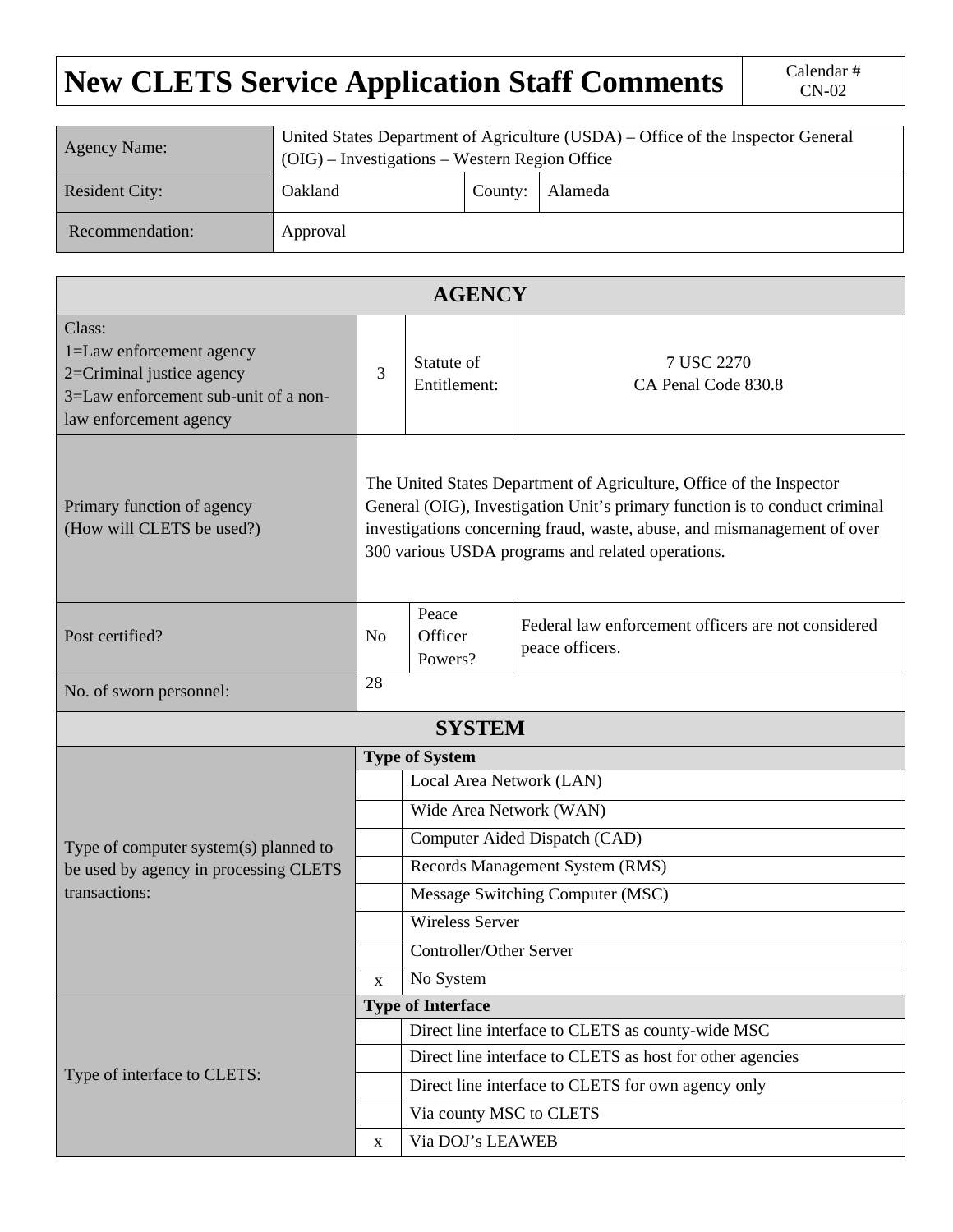## **New CLETS Service Application Staff Comments** Calendar # Calendar #

| <b>Agency Name:</b>   | United States Department of Agriculture (USDA) – Office of the Inspector General<br>$(OIG)$ – Investigations – Western Region Office |         |         |  |  |  |  |  |
|-----------------------|--------------------------------------------------------------------------------------------------------------------------------------|---------|---------|--|--|--|--|--|
| <b>Resident City:</b> | Oakland                                                                                                                              | County: | Alameda |  |  |  |  |  |
| Recommendation:       | Approval                                                                                                                             |         |         |  |  |  |  |  |

| <b>AGENCY</b>                                                                                                                     |                                                                                                                                                                                                                                                                                      |                                                           |                                                                        |  |  |  |  |  |
|-----------------------------------------------------------------------------------------------------------------------------------|--------------------------------------------------------------------------------------------------------------------------------------------------------------------------------------------------------------------------------------------------------------------------------------|-----------------------------------------------------------|------------------------------------------------------------------------|--|--|--|--|--|
| Class:<br>1=Law enforcement agency<br>2=Criminal justice agency<br>3=Law enforcement sub-unit of a non-<br>law enforcement agency |                                                                                                                                                                                                                                                                                      | Statute of<br>Entitlement:                                | 7 USC 2270<br>CA Penal Code 830.8                                      |  |  |  |  |  |
| Primary function of agency<br>(How will CLETS be used?)                                                                           | The United States Department of Agriculture, Office of the Inspector<br>General (OIG), Investigation Unit's primary function is to conduct criminal<br>investigations concerning fraud, waste, abuse, and mismanagement of over<br>300 various USDA programs and related operations. |                                                           |                                                                        |  |  |  |  |  |
| Post certified?                                                                                                                   |                                                                                                                                                                                                                                                                                      | Peace<br>Officer<br>Powers?                               | Federal law enforcement officers are not considered<br>peace officers. |  |  |  |  |  |
| No. of sworn personnel:                                                                                                           | 28                                                                                                                                                                                                                                                                                   |                                                           |                                                                        |  |  |  |  |  |
|                                                                                                                                   |                                                                                                                                                                                                                                                                                      | <b>SYSTEM</b>                                             |                                                                        |  |  |  |  |  |
|                                                                                                                                   | <b>Type of System</b>                                                                                                                                                                                                                                                                |                                                           |                                                                        |  |  |  |  |  |
|                                                                                                                                   |                                                                                                                                                                                                                                                                                      | Local Area Network (LAN)                                  |                                                                        |  |  |  |  |  |
| Type of computer system(s) planned to<br>be used by agency in processing CLETS<br>transactions:                                   | Wide Area Network (WAN)                                                                                                                                                                                                                                                              |                                                           |                                                                        |  |  |  |  |  |
|                                                                                                                                   |                                                                                                                                                                                                                                                                                      | Computer Aided Dispatch (CAD)                             |                                                                        |  |  |  |  |  |
|                                                                                                                                   |                                                                                                                                                                                                                                                                                      | Records Management System (RMS)                           |                                                                        |  |  |  |  |  |
|                                                                                                                                   |                                                                                                                                                                                                                                                                                      | Message Switching Computer (MSC)                          |                                                                        |  |  |  |  |  |
|                                                                                                                                   |                                                                                                                                                                                                                                                                                      | <b>Wireless Server</b>                                    |                                                                        |  |  |  |  |  |
|                                                                                                                                   |                                                                                                                                                                                                                                                                                      | <b>Controller/Other Server</b>                            |                                                                        |  |  |  |  |  |
|                                                                                                                                   | $\mathbf X$                                                                                                                                                                                                                                                                          | No System                                                 |                                                                        |  |  |  |  |  |
| Type of interface to CLETS:                                                                                                       | <b>Type of Interface</b>                                                                                                                                                                                                                                                             |                                                           |                                                                        |  |  |  |  |  |
|                                                                                                                                   |                                                                                                                                                                                                                                                                                      | Direct line interface to CLETS as county-wide MSC         |                                                                        |  |  |  |  |  |
|                                                                                                                                   |                                                                                                                                                                                                                                                                                      | Direct line interface to CLETS as host for other agencies |                                                                        |  |  |  |  |  |
|                                                                                                                                   |                                                                                                                                                                                                                                                                                      | Direct line interface to CLETS for own agency only        |                                                                        |  |  |  |  |  |
|                                                                                                                                   |                                                                                                                                                                                                                                                                                      | Via county MSC to CLETS                                   |                                                                        |  |  |  |  |  |
|                                                                                                                                   | X                                                                                                                                                                                                                                                                                    | Via DOJ's LEAWEB                                          |                                                                        |  |  |  |  |  |